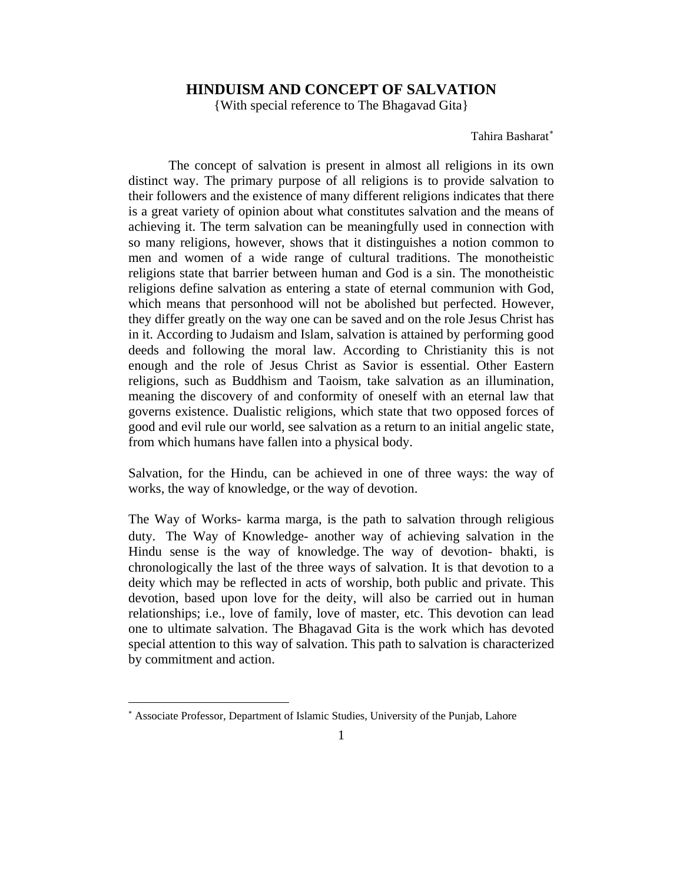## **HINDUISM AND CONCEPT OF SALVATION**

{With special reference to The Bhagavad Gita}

Tahira Basharat<sup>\*</sup>

The concept of salvation is present in almost all religions in its own distinct way. The primary purpose of all religions is to provide salvation to their followers and the existence of many different religions indicates that there is a great variety of opinion about what constitutes salvation and the means of achieving it. The term salvation can be meaningfully used in connection with so many religions, however, shows that it distinguishes a notion common to men and women of a wide range of cultural traditions. The monotheistic religions state that barrier between human and God is a sin. The monotheistic religions define salvation as entering a state of eternal communion with God, which means that personhood will not be abolished but perfected. However, they differ greatly on the way one can be saved and on the role Jesus Christ has in it. According to Judaism and Islam, salvation is attained by performing good deeds and following the moral law. According to Christianity this is not enough and the role of Jesus Christ as Savior is essential. Other Eastern religions, such as Buddhism and Taoism, take salvation as an illumination, meaning the discovery of and conformity of oneself with an eternal law that governs existence. Dualistic religions, which state that two opposed forces of good and evil rule our world, see salvation as a return to an initial angelic state, from which humans have fallen into a physical body.

Salvation, for the Hindu, can be achieved in one of three ways: the way of works, the way of knowledge, or the way of devotion.

The Way of Works- karma marga, is the path to salvation through religious duty. The Way of Knowledge- another way of achieving salvation in the Hindu sense is the way of knowledge. The way of devotion- bhakti, is chronologically the last of the three ways of salvation. It is that devotion to a deity which may be reflected in acts of worship, both public and private. This devotion, based upon love for the deity, will also be carried out in human relationships; i.e., love of family, love of master, etc. This devotion can lead one to ultimate salvation. The Bhagavad Gita is the work which has devoted special attention to this way of salvation. This path to salvation is characterized by commitment and action.

 $\overline{a}$ 

<span id="page-0-0"></span><sup>∗</sup> Associate Professor, Department of Islamic Studies, University of the Punjab, Lahore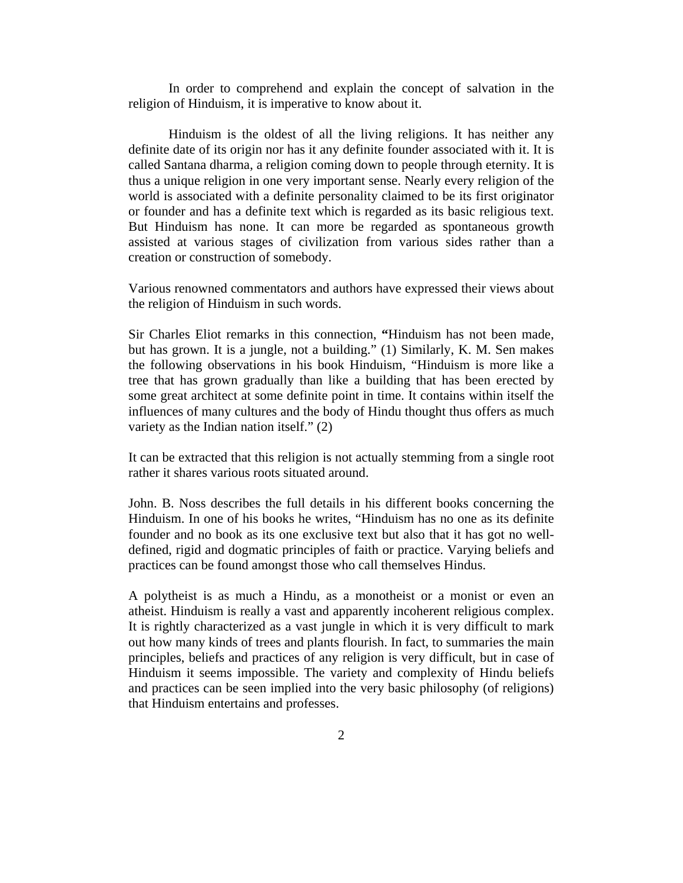In order to comprehend and explain the concept of salvation in the religion of Hinduism, it is imperative to know about it.

Hinduism is the oldest of all the living religions. It has neither any definite date of its origin nor has it any definite founder associated with it. It is called Santana dharma, a religion coming down to people through eternity. It is thus a unique religion in one very important sense. Nearly every religion of the world is associated with a definite personality claimed to be its first originator or founder and has a definite text which is regarded as its basic religious text. But Hinduism has none. It can more be regarded as spontaneous growth assisted at various stages of civilization from various sides rather than a creation or construction of somebody.

Various renowned commentators and authors have expressed their views about the religion of Hinduism in such words.

Sir Charles Eliot remarks in this connection, **"**Hinduism has not been made, but has grown. It is a jungle, not a building." (1) Similarly, K. M. Sen makes the following observations in his book Hinduism, "Hinduism is more like a tree that has grown gradually than like a building that has been erected by some great architect at some definite point in time. It contains within itself the influences of many cultures and the body of Hindu thought thus offers as much variety as the Indian nation itself." (2)

It can be extracted that this religion is not actually stemming from a single root rather it shares various roots situated around.

John. B. Noss describes the full details in his different books concerning the Hinduism. In one of his books he writes, "Hinduism has no one as its definite founder and no book as its one exclusive text but also that it has got no welldefined, rigid and dogmatic principles of faith or practice. Varying beliefs and practices can be found amongst those who call themselves Hindus.

A polytheist is as much a Hindu, as a monotheist or a monist or even an atheist. Hinduism is really a vast and apparently incoherent religious complex. It is rightly characterized as a vast jungle in which it is very difficult to mark out how many kinds of trees and plants flourish. In fact, to summaries the main principles, beliefs and practices of any religion is very difficult, but in case of Hinduism it seems impossible. The variety and complexity of Hindu beliefs and practices can be seen implied into the very basic philosophy (of religions) that Hinduism entertains and professes.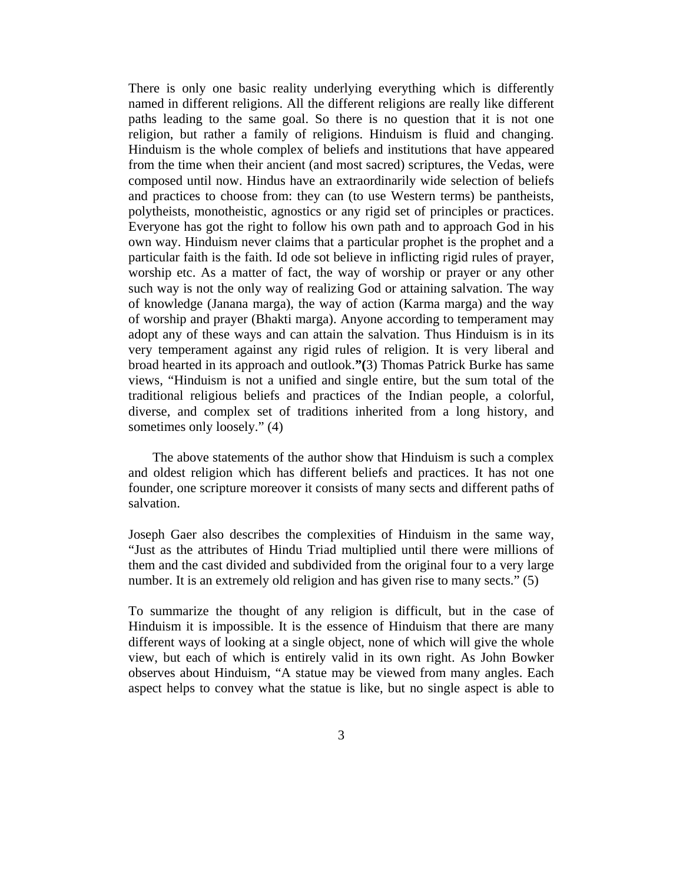There is only one basic reality underlying everything which is differently named in different religions. All the different religions are really like different paths leading to the same goal. So there is no question that it is not one religion, but rather a family of religions. Hinduism is fluid and changing. Hinduism is the whole complex of beliefs and institutions that have appeared from the time when their ancient (and most sacred) scriptures, the Vedas, were composed until now. Hindus have an extraordinarily wide selection of beliefs and practices to choose from: they can (to use Western terms) be pantheists, polytheists, monotheistic, agnostics or any rigid set of principles or practices. Everyone has got the right to follow his own path and to approach God in his own way. Hinduism never claims that a particular prophet is the prophet and a particular faith is the faith. Id ode sot believe in inflicting rigid rules of prayer, worship etc. As a matter of fact, the way of worship or prayer or any other such way is not the only way of realizing God or attaining salvation. The way of knowledge (Janana marga), the way of action (Karma marga) and the way of worship and prayer (Bhakti marga). Anyone according to temperament may adopt any of these ways and can attain the salvation. Thus Hinduism is in its very temperament against any rigid rules of religion. It is very liberal and broad hearted in its approach and outlook.**"(**3) Thomas Patrick Burke has same views, "Hinduism is not a unified and single entire, but the sum total of the traditional religious beliefs and practices of the Indian people, a colorful, diverse, and complex set of traditions inherited from a long history, and sometimes only loosely." (4)

The above statements of the author show that Hinduism is such a complex and oldest religion which has different beliefs and practices. It has not one founder, one scripture moreover it consists of many sects and different paths of salvation.

Joseph Gaer also describes the complexities of Hinduism in the same way, "Just as the attributes of Hindu Triad multiplied until there were millions of them and the cast divided and subdivided from the original four to a very large number. It is an extremely old religion and has given rise to many sects." (5)

To summarize the thought of any religion is difficult, but in the case of Hinduism it is impossible. It is the essence of Hinduism that there are many different ways of looking at a single object, none of which will give the whole view, but each of which is entirely valid in its own right. As John Bowker observes about Hinduism, "A statue may be viewed from many angles. Each aspect helps to convey what the statue is like, but no single aspect is able to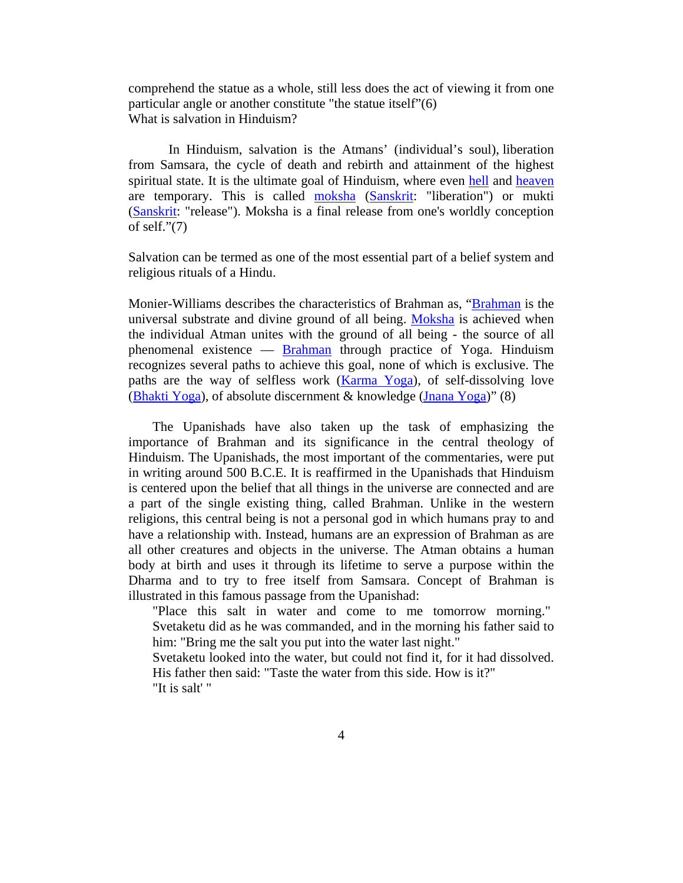comprehend the statue as a whole, still less does the act of viewing it from one particular angle or another constitute "the statue itself"(6) What is salvation in Hinduism?

In Hinduism, salvation is the Atmans' (individual's soul), liberation from Samsara, the cycle of death and rebirth and attainment of the highest spiritual state. It is the ultimate goal of Hinduism, where even [hell](http://en.wikipedia.org/wiki/Hell) and [heaven](http://en.wikipedia.org/wiki/Heaven) are temporary. This is called [moksha](http://en.wikipedia.org/wiki/Moksha) [\(Sanskrit:](http://en.wikipedia.org/wiki/Sanskrit) "liberation") or mukti [\(Sanskrit:](http://en.wikipedia.org/wiki/Sanskrit) "release"). Moksha is a final release from one's worldly conception of self."(7)

Salvation can be termed as one of the most essential part of a belief system and religious rituals of a Hindu.

Monier-Williams describes the characteristics of Brahman as, ["Brahman](http://en.wikipedia.org/wiki/Brahman) is the universal substrate and divine ground of all being. [Moksha](http://en.wikipedia.org/wiki/Moksha) is achieved when the individual Atman unites with the ground of all being - the source of all phenomenal existence — [Brahman](http://en.wikipedia.org/wiki/Brahman) through practice of Yoga. Hinduism recognizes several paths to achieve this goal, none of which is exclusive. The paths are the way of selfless work ([Karma Yoga\)](http://en.wikipedia.org/wiki/Karma_Yoga), of self-dissolving love [\(Bhakti Yoga](http://en.wikipedia.org/wiki/Bhakti_Yoga)), of absolute discernment & knowledge ([Jnana Yoga](http://en.wikipedia.org/wiki/Jnana_Yoga))" (8)

The Upanishads have also taken up the task of emphasizing the importance of Brahman and its significance in the central theology of Hinduism. The Upanishads, the most important of the commentaries, were put in writing around 500 B.C.E. It is reaffirmed in the Upanishads that Hinduism is centered upon the belief that all things in the universe are connected and are a part of the single existing thing, called Brahman. Unlike in the western religions, this central being is not a personal god in which humans pray to and have a relationship with. Instead, humans are an expression of Brahman as are all other creatures and objects in the universe. The Atman obtains a human body at birth and uses it through its lifetime to serve a purpose within the Dharma and to try to free itself from Samsara. Concept of Brahman is illustrated in this famous passage from the Upanishad:

"Place this salt in water and come to me tomorrow morning." Svetaketu did as he was commanded, and in the morning his father said to him: "Bring me the salt you put into the water last night."

Svetaketu looked into the water, but could not find it, for it had dissolved. His father then said: "Taste the water from this side. How is it?" "It is salt' "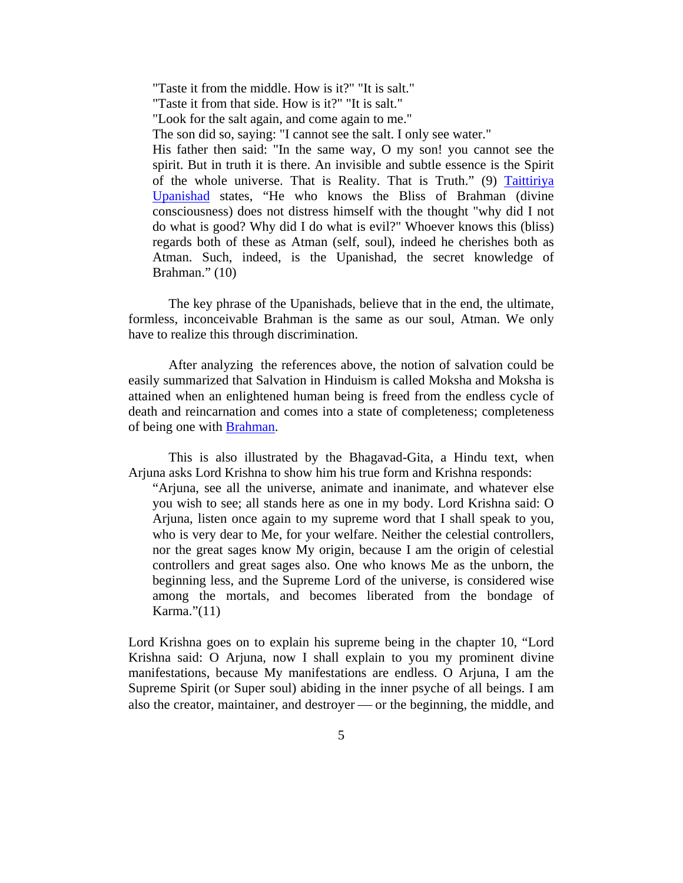"Taste it from the middle. How is it?" "It is salt." "Taste it from that side. How is it?" "It is salt." "Look for the salt again, and come again to me." The son did so, saying: "I cannot see the salt. I only see water." His father then said: "In the same way, O my son! you cannot see the spirit. But in truth it is there. An invisible and subtle essence is the Spirit of the whole universe. That is Reality. That is Truth." (9) [Taittiriya](http://en.wikipedia.org/wiki/Taittiriya_Upanishad)  [Upanishad](http://en.wikipedia.org/wiki/Taittiriya_Upanishad) states, "He who knows the Bliss of Brahman (divine consciousness) does not distress himself with the thought "why did I not do what is good? Why did I do what is evil?" Whoever knows this (bliss) regards both of these as Atman (self, soul), indeed he cherishes both as Atman. Such, indeed, is the Upanishad, the secret knowledge of Brahman." (10)

The key phrase of the Upanishads, believe that in the end, the ultimate, formless, inconceivable Brahman is the same as our soul, Atman. We only have to realize this through discrimination.

After analyzing the references above, the notion of salvation could be easily summarized that Salvation in Hinduism is called Moksha and Moksha is attained when an enlightened human being is freed from the endless cycle of death and reincarnation and comes into a state of completeness; completeness of being one with [Brahman.](http://en.wikipedia.org/wiki/Brahman)

This is also illustrated by the Bhagavad-Gita, a Hindu text, when Arjuna asks Lord Krishna to show him his true form and Krishna responds:

"Arjuna, see all the universe, animate and inanimate, and whatever else you wish to see; all stands here as one in my body. Lord Krishna said: O Arjuna, listen once again to my supreme word that I shall speak to you, who is very dear to Me, for your welfare. Neither the celestial controllers, nor the great sages know My origin, because I am the origin of celestial controllers and great sages also. One who knows Me as the unborn, the beginning less, and the Supreme Lord of the universe, is considered wise among the mortals, and becomes liberated from the bondage of Karma."(11)

Lord Krishna goes on to explain his supreme being in the chapter 10, "Lord Krishna said: O Arjuna, now I shall explain to you my prominent divine manifestations, because My manifestations are endless. O Arjuna, I am the Supreme Spirit (or Super soul) abiding in the inner psyche of all beings. I am also the creator, maintainer, and destroyer — or the beginning, the middle, and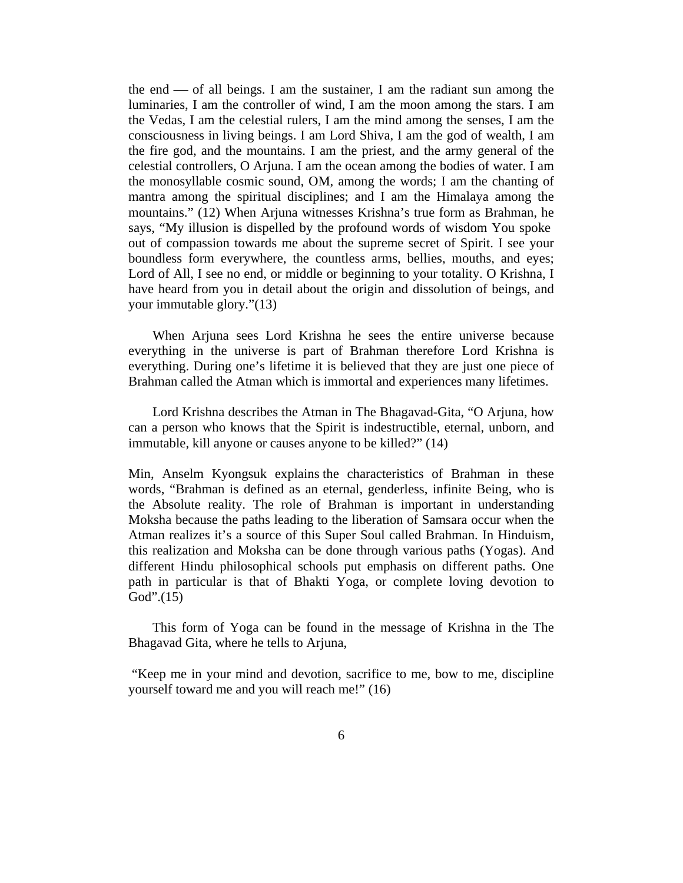the end  $\sim$  of all beings. I am the sustainer, I am the radiant sun among the luminaries, I am the controller of wind, I am the moon among the stars. I am the Vedas, I am the celestial rulers, I am the mind among the senses, I am the consciousness in living beings. I am Lord Shiva, I am the god of wealth, I am the fire god, and the mountains. I am the priest, and the army general of the celestial controllers, O Arjuna. I am the ocean among the bodies of water. I am the monosyllable cosmic sound, OM, among the words; I am the chanting of mantra among the spiritual disciplines; and I am the Himalaya among the mountains." (12) When Arjuna witnesses Krishna's true form as Brahman, he says, "My illusion is dispelled by the profound words of wisdom You spoke out of compassion towards me about the supreme secret of Spirit. I see your boundless form everywhere, the countless arms, bellies, mouths, and eyes; Lord of All, I see no end, or middle or beginning to your totality. O Krishna, I have heard from you in detail about the origin and dissolution of beings, and your immutable glory."(13)

When Arjuna sees Lord Krishna he sees the entire universe because everything in the universe is part of Brahman therefore Lord Krishna is everything. During one's lifetime it is believed that they are just one piece of Brahman called the Atman which is immortal and experiences many lifetimes.

Lord Krishna describes the Atman in The Bhagavad-Gita, "O Arjuna, how can a person who knows that the Spirit is indestructible, eternal, unborn, and immutable, kill anyone or causes anyone to be killed?" (14)

Min, Anselm Kyongsuk explains the characteristics of Brahman in these words, "Brahman is defined as an eternal, genderless, infinite Being, who is the Absolute reality. The role of Brahman is important in understanding Moksha because the paths leading to the liberation of Samsara occur when the Atman realizes it's a source of this Super Soul called Brahman. In Hinduism, this realization and Moksha can be done through various paths (Yogas). And different Hindu philosophical schools put emphasis on different paths. One path in particular is that of Bhakti Yoga, or complete loving devotion to God".(15)

This form of Yoga can be found in the message of Krishna in the The Bhagavad Gita, where he tells to Arjuna,

 "Keep me in your mind and devotion, sacrifice to me, bow to me, discipline yourself toward me and you will reach me!" (16)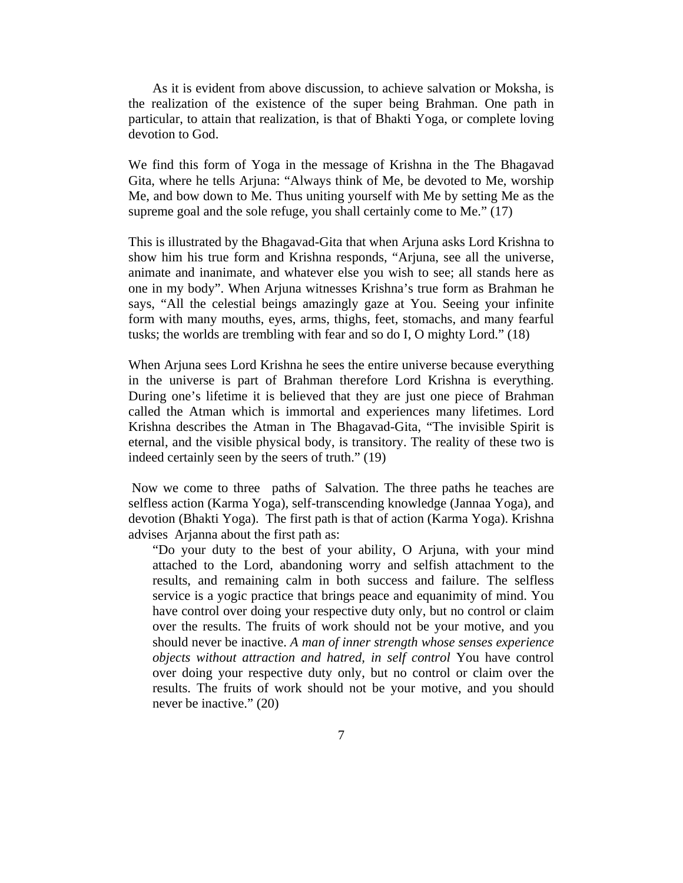As it is evident from above discussion, to achieve salvation or Moksha, is the realization of the existence of the super being Brahman. One path in particular, to attain that realization, is that of Bhakti Yoga, or complete loving devotion to God.

We find this form of Yoga in the message of Krishna in the The Bhagavad Gita, where he tells Arjuna: "Always think of Me, be devoted to Me, worship Me, and bow down to Me. Thus uniting yourself with Me by setting Me as the supreme goal and the sole refuge, you shall certainly come to Me." (17)

This is illustrated by the Bhagavad-Gita that when Arjuna asks Lord Krishna to show him his true form and Krishna responds, "Arjuna, see all the universe, animate and inanimate, and whatever else you wish to see; all stands here as one in my body". When Arjuna witnesses Krishna's true form as Brahman he says, "All the celestial beings amazingly gaze at You. Seeing your infinite form with many mouths, eyes, arms, thighs, feet, stomachs, and many fearful tusks; the worlds are trembling with fear and so do I, O mighty Lord." (18)

When Arjuna sees Lord Krishna he sees the entire universe because everything in the universe is part of Brahman therefore Lord Krishna is everything. During one's lifetime it is believed that they are just one piece of Brahman called the Atman which is immortal and experiences many lifetimes. Lord Krishna describes the Atman in The Bhagavad-Gita, "The invisible Spirit is eternal, and the visible physical body, is transitory. The reality of these two is indeed certainly seen by the seers of truth." (19)

 Now we come to three paths of Salvation. The three paths he teaches are selfless action (Karma Yoga), self-transcending knowledge (Jannaa Yoga), and devotion (Bhakti Yoga). The first path is that of action (Karma Yoga). Krishna advises Arjanna about the first path as:

"Do your duty to the best of your ability, O Arjuna, with your mind attached to the Lord, abandoning worry and selfish attachment to the results, and remaining calm in both success and failure. The selfless service is a yogic practice that brings peace and equanimity of mind. You have control over doing your respective duty only, but no control or claim over the results. The fruits of work should not be your motive, and you should never be inactive. *A man of inner strength whose senses experience objects without attraction and hatred, in self control* You have control over doing your respective duty only, but no control or claim over the results. The fruits of work should not be your motive, and you should never be inactive." (20)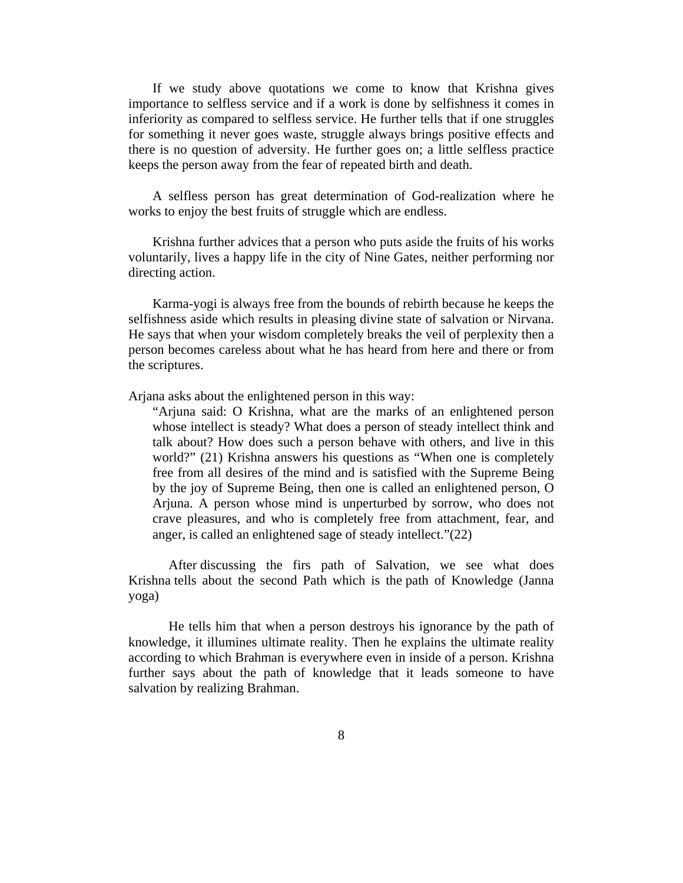If we study above quotations we come to know that Krishna gives importance to selfless service and if a work is done by selfishness it comes in inferiority as compared to selfless service. He further tells that if one struggles for something it never goes waste, struggle always brings positive effects and there is no question of adversity. He further goes on; a little selfless practice keeps the person away from the fear of repeated birth and death.

A selfless person has great determination of God-realization where he works to enjoy the best fruits of struggle which are endless.

Krishna further advices that a person who puts aside the fruits of his works voluntarily, lives a happy life in the city of Nine Gates, neither performing nor directing action.

Karma-yogi is always free from the bounds of rebirth because he keeps the selfishness aside which results in pleasing divine state of salvation or Nirvana. He says that when your wisdom completely breaks the veil of perplexity then a person becomes careless about what he has heard from here and there or from the scriptures.

Arjana asks about the enlightened person in this way:

"Arjuna said: O Krishna, what are the marks of an enlightened person whose intellect is steady? What does a person of steady intellect think and talk about? How does such a person behave with others, and live in this world?" (21) Krishna answers his questions as "When one is completely free from all desires of the mind and is satisfied with the Supreme Being by the joy of Supreme Being, then one is called an enlightened person, O Arjuna. A person whose mind is unperturbed by sorrow, who does not crave pleasures, and who is completely free from attachment, fear, and anger, is called an enlightened sage of steady intellect."(22)

After discussing the firs path of Salvation, we see what does Krishna tells about the second Path which is the path of Knowledge (Janna yoga)

He tells him that when a person destroys his ignorance by the path of knowledge, it illumines ultimate reality. Then he explains the ultimate reality according to which Brahman is everywhere even in inside of a person. Krishna further says about the path of knowledge that it leads someone to have salvation by realizing Brahman.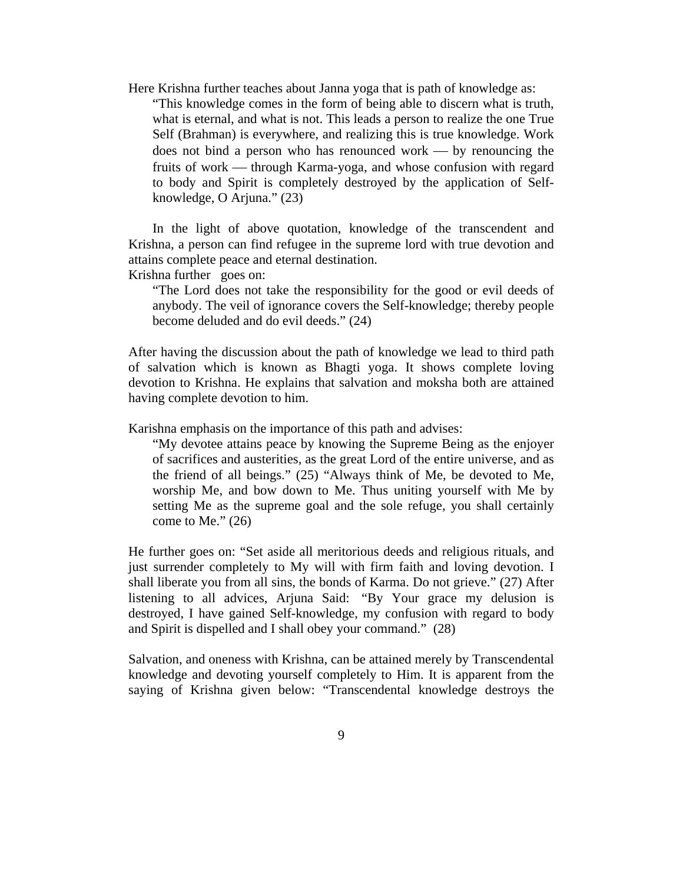- Here Krishna further teaches about Janna yoga that is path of knowledge as:
	- "This knowledge comes in the form of being able to discern what is truth, what is eternal, and what is not. This leads a person to realize the one True Self (Brahman) is everywhere, and realizing this is true knowledge. Work does not bind a person who has renounced work  $-$  by renouncing the fruits of work — through Karma-yoga, and whose confusion with regard to body and Spirit is completely destroyed by the application of Selfknowledge, O Arjuna." (23)

In the light of above quotation, knowledge of the transcendent and Krishna, a person can find refugee in the supreme lord with true devotion and attains complete peace and eternal destination.

Krishna further goes on:

"The Lord does not take the responsibility for the good or evil deeds of anybody. The veil of ignorance covers the Self-knowledge; thereby people become deluded and do evil deeds." (24)

After having the discussion about the path of knowledge we lead to third path of salvation which is known as Bhagti yoga. It shows complete loving devotion to Krishna. He explains that salvation and moksha both are attained having complete devotion to him.

Karishna emphasis on the importance of this path and advises:

"My devotee attains peace by knowing the Supreme Being as the enjoyer of sacrifices and austerities, as the great Lord of the entire universe, and as the friend of all beings." (25) "Always think of Me, be devoted to Me, worship Me, and bow down to Me. Thus uniting yourself with Me by setting Me as the supreme goal and the sole refuge, you shall certainly come to Me."  $(26)$ 

He further goes on: "Set aside all meritorious deeds and religious rituals, and just surrender completely to My will with firm faith and loving devotion. I shall liberate you from all sins, the bonds of Karma. Do not grieve." (27) After listening to all advices, Arjuna Said: "By Your grace my delusion is destroyed, I have gained Self-knowledge, my confusion with regard to body and Spirit is dispelled and I shall obey your command." (28)

Salvation, and oneness with Krishna, can be attained merely by Transcendental knowledge and devoting yourself completely to Him. It is apparent from the saying of Krishna given below: "Transcendental knowledge destroys the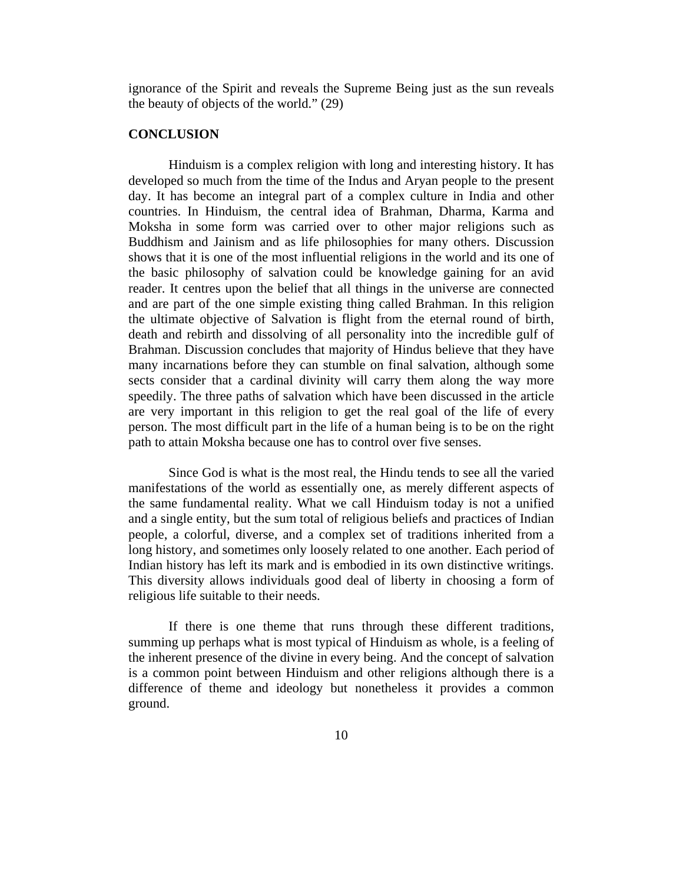ignorance of the Spirit and reveals the Supreme Being just as the sun reveals the beauty of objects of the world." (29)

## **CONCLUSION**

Hinduism is a complex religion with long and interesting history. It has developed so much from the time of the Indus and Aryan people to the present day. It has become an integral part of a complex culture in India and other countries. In Hinduism, the central idea of Brahman, Dharma, Karma and Moksha in some form was carried over to other major religions such as Buddhism and Jainism and as life philosophies for many others. Discussion shows that it is one of the most influential religions in the world and its one of the basic philosophy of salvation could be knowledge gaining for an avid reader. It centres upon the belief that all things in the universe are connected and are part of the one simple existing thing called Brahman. In this religion the ultimate objective of Salvation is flight from the eternal round of birth, death and rebirth and dissolving of all personality into the incredible gulf of Brahman. Discussion concludes that majority of Hindus believe that they have many incarnations before they can stumble on final salvation, although some sects consider that a cardinal divinity will carry them along the way more speedily. The three paths of salvation which have been discussed in the article are very important in this religion to get the real goal of the life of every person. The most difficult part in the life of a human being is to be on the right path to attain Moksha because one has to control over five senses.

Since God is what is the most real, the Hindu tends to see all the varied manifestations of the world as essentially one, as merely different aspects of the same fundamental reality. What we call Hinduism today is not a unified and a single entity, but the sum total of religious beliefs and practices of Indian people, a colorful, diverse, and a complex set of traditions inherited from a long history, and sometimes only loosely related to one another. Each period of Indian history has left its mark and is embodied in its own distinctive writings. This diversity allows individuals good deal of liberty in choosing a form of religious life suitable to their needs.

If there is one theme that runs through these different traditions, summing up perhaps what is most typical of Hinduism as whole, is a feeling of the inherent presence of the divine in every being. And the concept of salvation is a common point between Hinduism and other religions although there is a difference of theme and ideology but nonetheless it provides a common ground.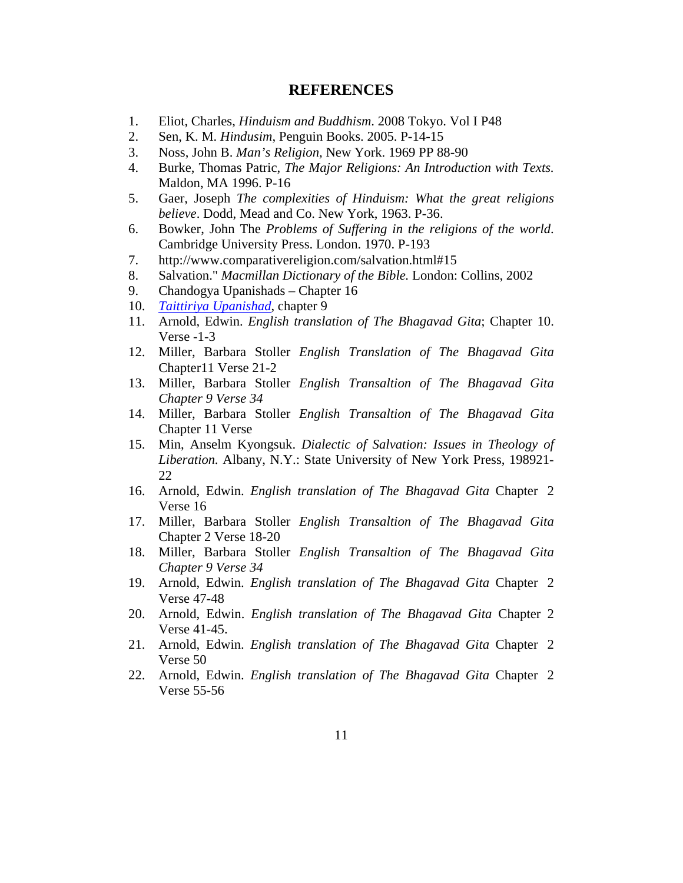## **REFERENCES**

- 1. Eliot, Charles, *Hinduism and Buddhism*. 2008 Tokyo. Vol I P48
- 2. Sen, K. M. *Hindusim*, Penguin Books. 2005. P-14-15
- 3. Noss, John B. *Man's Religion,* New York. 1969 PP 88-90
- 4. Burke, Thomas Patric, *The Major Religions: An Introduction with Texts.*  Maldon, MA 1996. P-16
- 5. Gaer, Joseph *The complexities of Hinduism: What the great religions believe*. Dodd, Mead and Co. New York, 1963. P-36.
- 6. Bowker, John The *Problems of Suffering in the religions of the world*. Cambridge University Press. London. 1970. P-193
- 7. http://www.comparativereligion.com/salvation.html#15
- 8. Salvation." *Macmillan Dictionary of the Bible.* London: Collins, 2002
- 9. Chandogya Upanishads Chapter 16
- 10. *[Taittiriya Upanishad](http://en.wikipedia.org/wiki/Taittiriya_Upanishad)*, chapter 9
- 11. Arnold, Edwin. *English translation of The Bhagavad Gita*; Chapter 10. Verse -1-3
- 12. Miller, Barbara Stoller *English Translation of The Bhagavad Gita*  Chapter11 Verse 21-2
- 13. Miller, Barbara Stoller *English Transaltion of The Bhagavad Gita Chapter 9 Verse 34*
- 14. Miller, Barbara Stoller *English Transaltion of The Bhagavad Gita*  Chapter 11 Verse
- 15. Min, Anselm Kyongsuk. *Dialectic of Salvation: Issues in Theology of Liberation.* Albany, N.Y.: State University of New York Press, 198921- 22
- 16. Arnold, Edwin. *English translation of The Bhagavad Gita* Chapter 2 Verse 16
- 17. Miller, Barbara Stoller *English Transaltion of The Bhagavad Gita*  Chapter 2 Verse 18-20
- 18. Miller, Barbara Stoller *English Transaltion of The Bhagavad Gita Chapter 9 Verse 34*
- 19. Arnold, Edwin. *English translation of The Bhagavad Gita* Chapter 2 Verse 47-48
- 20. Arnold, Edwin. *English translation of The Bhagavad Gita* Chapter 2 Verse 41-45.
- 21. Arnold, Edwin. *English translation of The Bhagavad Gita* Chapter 2 Verse 50
- 22. Arnold, Edwin. *English translation of The Bhagavad Gita* Chapter 2 Verse 55-56